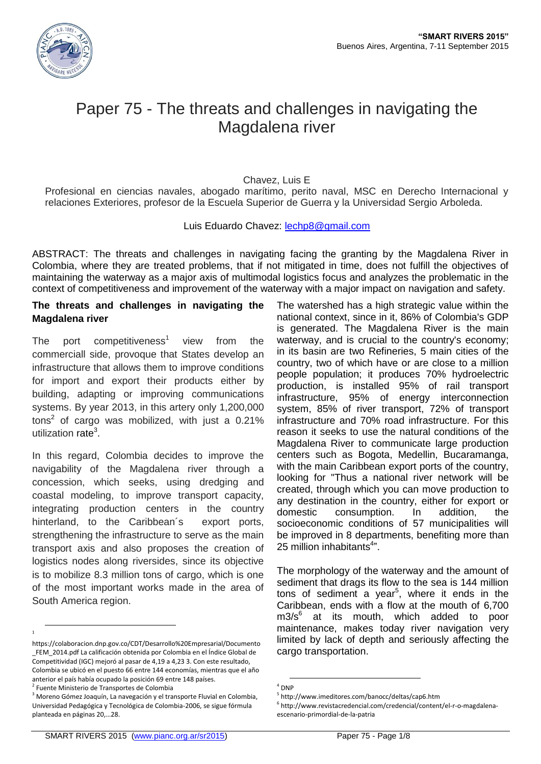

# Paper 75 - The threats and challenges in navigating the Magdalena river

Chavez, Luis E

Profesional en ciencias navales, abogado marítimo, perito naval, MSC en Derecho Internacional y relaciones Exteriores, profesor de la Escuela Superior de Guerra y la Universidad Sergio Arboleda.

Luis Eduardo Chavez: [lechp8@gmail.com](mailto:lechp8@gmail.com)

ABSTRACT: The threats and challenges in navigating facing the granting by the Magdalena River in Colombia, where they are treated problems, that if not mitigated in time, does not fulfill the objectives of maintaining the waterway as a major axis of multimodal logistics focus and analyzes the problematic in the context of competitiveness and improvement of the waterway with a major impact on navigation and safety.

## **The threats and challenges in navigating the Magdalena river**

The port competitiveness<sup>1</sup> view from the commerciall side, provoque that States develop an infrastructure that allows them to improve conditions for import and export their products either by building, adapting or improving communications systems. By year 2013, in this artery only 1,200,000 tons<sup>2</sup> of cargo was mobilized, with just a 0.21% utilization rate<sup>3</sup>.

In this regard, Colombia decides to improve the navigability of the Magdalena river through a concession, which seeks, using dredging and coastal modeling, to improve transport capacity, integrating production centers in the country hinterland, to the Caribbean's export ports, strengthening the infrastructure to serve as the main transport axis and also proposes the creation of logistics nodes along riversides, since its objective is to mobilize 8.3 million tons of cargo, which is one of the most important works made in the area of South America region.

 $\overline{a}$ 1

The watershed has a high strategic value within the national context, since in it, 86% of Colombia's GDP is generated. The Magdalena River is the main waterway, and is crucial to the country's economy; in its basin are two Refineries, 5 main cities of the country, two of which have or are close to a million people population; it produces 70% hydroelectric production, is installed 95% of rail transport infrastructure, 95% of energy interconnection system, 85% of river transport, 72% of transport infrastructure and 70% road infrastructure. For this reason it seeks to use the natural conditions of the Magdalena River to communicate large production centers such as Bogota, Medellin, Bucaramanga, with the main Caribbean export ports of the country. looking for "Thus a national river network will be created, through which you can move production to any destination in the country, either for export or domestic consumption. In addition, the socioeconomic conditions of 57 municipalities will be improved in 8 departments, benefiting more than 25 million inhabitants<sup>4</sup>".

The morphology of the waterway and the amount of sediment that drags its flow to the sea is 144 million tons of sediment a year<sup>5</sup>, where it ends in the Caribbean, ends with a flow at the mouth of 6,700 m3/s<sup>6</sup> at its mouth, which added to poor maintenance, makes today river navigation very limited by lack of depth and seriously affecting the cargo transportation.

https://colaboracion.dnp.gov.co/CDT/Desarrollo%20Empresarial/Documento \_FEM\_2014.pdf La calificación obtenida por Colombia en el Índice Global de Competitividad (IGC) mejoró al pasar de 4,19 a 4,23 3. Con este resultado, Colombia se ubicó en el puesto 66 entre 144 economías, mientras que el año anterior el país había ocupado la posición 69 entre 148 países.

<sup>&</sup>lt;sup>2</sup> Fuente Ministerio de Transportes de Colombia

 $3$  Moreno Gómez Joaquín, La navegación y el transporte Fluvial en Colombia, Universidad Pedagógica y Tecnológica de Colombia-2006, se sigue fórmula planteada en páginas 20,…28.

<sup>1</sup>  $<sup>4</sup>$  DNP</sup>

<sup>5</sup> http://www.imeditores.com/banocc/deltas/cap6.htm

<sup>6</sup> http://www.revistacredencial.com/credencial/content/el-r-o-magdalenaescenario-primordial-de-la-patria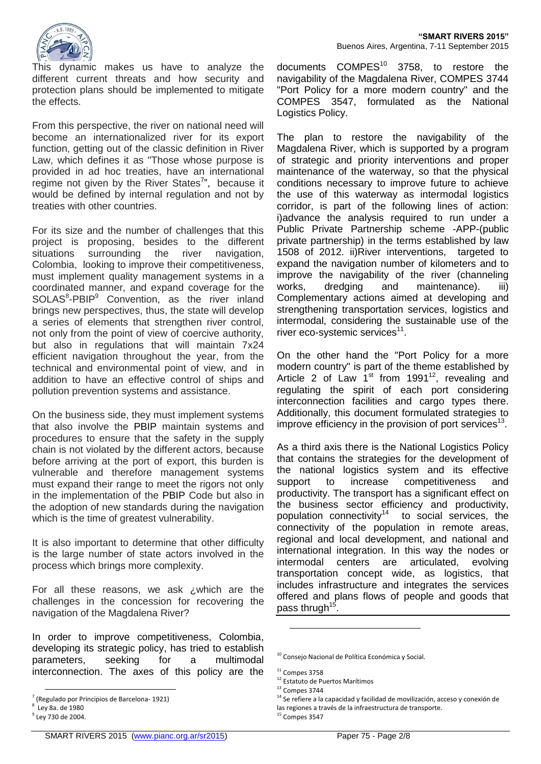

This dynamic makes us have to analyze the different current threats and how security and protection plans should be implemented to mitigate the effects.

From this perspective, the river on national need will become an internationalized river for its export function, getting out of the classic definition in River Law, which defines it as "Those whose purpose is provided in ad hoc treaties, have an international regime not given by the River States<sup>7</sup>", because it would be defined by internal regulation and not by treaties with other countries.

For its size and the number of challenges that this project is proposing, besides to the different situations surrounding the river navigation, Colombia, looking to improve their competitiveness, must implement quality management systems in a coordinated manner, and expand coverage for the SOLAS<sup>8</sup>-PBIP<sup>9</sup> Convention, as the river inland brings new perspectives, thus, the state will develop a series of elements that strengthen river control, not only from the point of view of coercive authority, but also in regulations that will maintain 7x24 efficient navigation throughout the year, from the technical and environmental point of view, and in addition to have an effective control of ships and pollution prevention systems and assistance.

On the business side, they must implement systems that also involve the PBIP maintain systems and procedures to ensure that the safety in the supply chain is not violated by the different actors, because before arriving at the port of export, this burden is vulnerable and therefore management systems must expand their range to meet the rigors not only in the implementation of the PBIP Code but also in the adoption of new standards during the navigation which is the time of greatest vulnerability.

It is also important to determine that other difficulty is the large number of state actors involved in the process which brings more complexity.

For all these reasons, we ask ¿which are the challenges in the concession for recovering the navigation of the Magdalena River?

In order to improve competitiveness, Colombia, developing its strategic policy, has tried to establish parameters, seeking for a multimodal interconnection. The axes of this policy are the

 $\overline{a}$ 

documents COMPES<sup>10</sup> 3758, to restore the navigability of the Magdalena River, COMPES 3744 "Port Policy for a more modern country" and the COMPES 3547, formulated as the National Logistics Policy.

The plan to restore the navigability of the Magdalena River, which is supported by a program of strategic and priority interventions and proper maintenance of the waterway, so that the physical conditions necessary to improve future to achieve the use of this waterway as intermodal logistics corridor, is part of the following lines of action: i)advance the analysis required to run under a Public Private Partnership scheme -APP-(public private partnership) in the terms established by law 1508 of 2012. ii)River interventions, targeted to expand the navigation number of kilometers and to improve the navigability of the river (channeling works, dredging and maintenance). iii) Complementary actions aimed at developing and strengthening transportation services, logistics and intermodal, considering the sustainable use of the river eco-systemic services<sup>11</sup>.

On the other hand the "Port Policy for a more modern country" is part of the theme established by Article 2 of Law  $1<sup>st</sup>$  from 1991<sup>12</sup>, revealing and regulating the spirit of each port considering interconnection facilities and cargo types there. Additionally, this document formulated strategies to improve efficiency in the provision of port services $^{13}$ .

As a third axis there is the National Logistics Policy that contains the strategies for the development of the national logistics system and its effective support to increase competitiveness and productivity. The transport has a significant effect on the business sector efficiency and productivity, population connectivity<sup>14</sup> to social services, the connectivity of the population in remote areas, regional and local development, and national and international integration. In this way the nodes or intermodal centers are articulated, evolving transportation concept wide, as logistics, that includes infrastructure and integrates the services offered and plans flows of people and goods that pass thrugh<sup>15</sup>.

1

<sup>7</sup> (Regulado por Principios de Barcelona- 1921)

<sup>8</sup> Ley 8a. de 1980 <sup>9</sup> Ley 730 de 2004.

<sup>&</sup>lt;sup>10</sup> Consejo Nacional de Política Económica y Social.

 $11$  Compes 3758

<sup>12</sup> Estatuto de Puertos Marítimos

 $13$  Compes 3744

 $14$  Se refiere a la capacidad y facilidad de movilización, acceso y conexión de

las regiones a través de la infraestructura de transporte.

 $15$  Compes 3547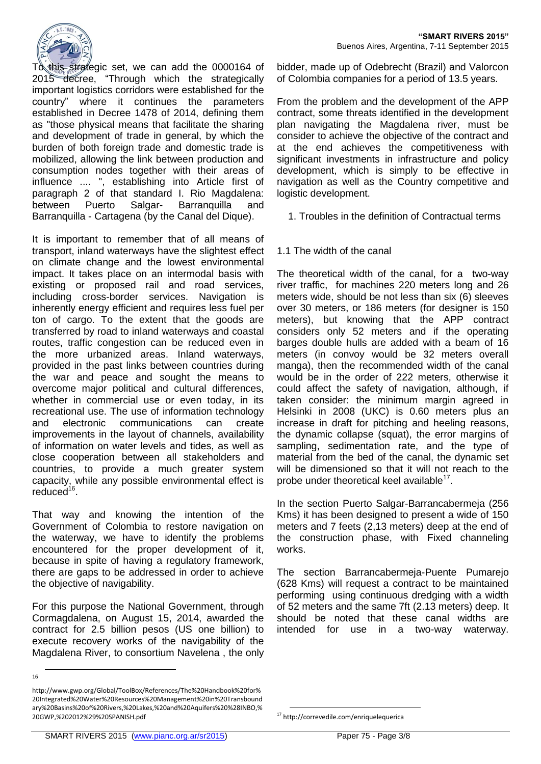

To this strategic set, we can add the 0000164 of 2015 decree, "Through which the strategically important logistics corridors were established for the country" where it continues the parameters established in Decree 1478 of 2014, defining them as "those physical means that facilitate the sharing and development of trade in general, by which the burden of both foreign trade and domestic trade is mobilized, allowing the link between production and consumption nodes together with their areas of influence .... ", establishing into Article first of paragraph 2 of that standard I. Rio Magdalena: between Puerto Salgar- Barranquilla and Barranquilla - Cartagena (by the Canal del Dique).

It is important to remember that of all means of transport, inland waterways have the slightest effect on climate change and the lowest environmental impact. It takes place on an intermodal basis with existing or proposed rail and road services, including cross-border services. Navigation is inherently energy efficient and requires less fuel per ton of cargo. To the extent that the goods are transferred by road to inland waterways and coastal routes, traffic congestion can be reduced even in the more urbanized areas. Inland waterways, provided in the past links between countries during the war and peace and sought the means to overcome major political and cultural differences, whether in commercial use or even today, in its recreational use. The use of information technology and electronic communications can create improvements in the layout of channels, availability of information on water levels and tides, as well as close cooperation between all stakeholders and countries, to provide a much greater system capacity, while any possible environmental effect is reduced<sup>16</sup>.

That way and knowing the intention of the Government of Colombia to restore navigation on the waterway, we have to identify the problems encountered for the proper development of it, because in spite of having a regulatory framework, there are gaps to be addressed in order to achieve the objective of navigability.

For this purpose the National Government, through Cormagdalena, on August 15, 2014, awarded the contract for 2.5 billion pesos (US one billion) to execute recovery works of the navigability of the Magdalena River, to consortium Navelena , the only

 $\overline{a}$ 

bidder, made up of Odebrecht (Brazil) and Valorcon of Colombia companies for a period of 13.5 years.

From the problem and the development of the APP contract, some threats identified in the development plan navigating the Magdalena river, must be consider to achieve the objective of the contract and at the end achieves the competitiveness with significant investments in infrastructure and policy development, which is simply to be effective in navigation as well as the Country competitive and logistic development.

1. Troubles in the definition of Contractual terms

1.1 The width of the canal

The theoretical width of the canal, for a two-way river traffic, for machines 220 meters long and 26 meters wide, should be not less than six (6) sleeves over 30 meters, or 186 meters (for designer is 150 meters), but knowing that the APP contract considers only 52 meters and if the operating barges double hulls are added with a beam of 16 meters (in convoy would be 32 meters overall manga), then the recommended width of the canal would be in the order of 222 meters, otherwise it could affect the safety of navigation, although, if taken consider: the minimum margin agreed in Helsinki in 2008 (UKC) is 0.60 meters plus an increase in draft for pitching and heeling reasons, the dynamic collapse (squat), the error margins of sampling, sedimentation rate, and the type of material from the bed of the canal, the dynamic set will be dimensioned so that it will not reach to the probe under theoretical keel available<sup>17</sup>.

In the section Puerto Salgar-Barrancabermeja (256 Kms) it has been designed to present a wide of 150 meters and 7 feets (2,13 meters) deep at the end of the construction phase, with Fixed channeling works.

The section Barrancabermeja-Puente Pumarejo (628 Kms) will request a contract to be maintained performing using continuous dredging with a width of 52 meters and the same 7ft (2.13 meters) deep. It should be noted that these canal widths are intended for use in a two-way waterway.

<sup>16</sup>

http://www.gwp.org/Global/ToolBox/References/The%20Handbook%20for% 20Integrated%20Water%20Resources%20Management%20in%20Transbound ary%20Basins%20of%20Rivers,%20Lakes,%20and%20Aquifers%20%28INBO,% 20GWP,%202012%29%20SPANISH.pdf

<sup>1</sup> <sup>17</sup> http://correvedile.com/enriquelequerica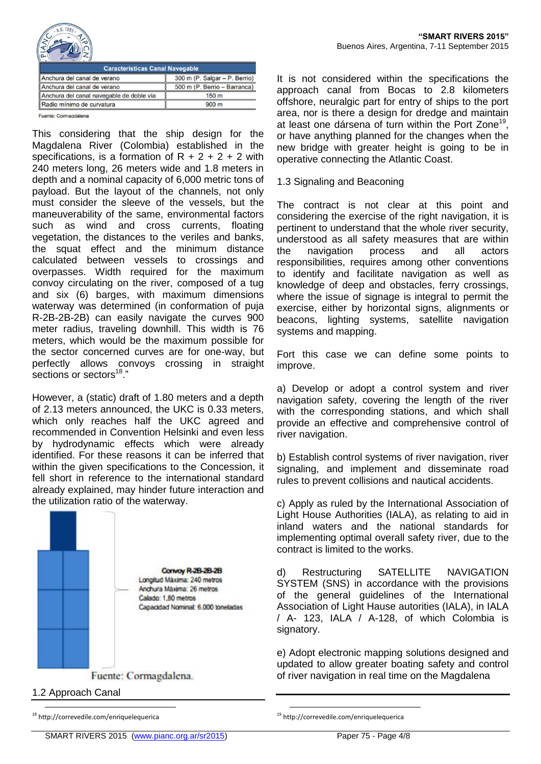

| <b>Caracteristicas Canal Navegable</b>   |                               |
|------------------------------------------|-------------------------------|
| Anchura del canal de verano              | 300 m (P. Salgar - P. Berrio) |
| Anchura del canal de verano              | 500 m (P. Berrio - Barranca)  |
| Anchura del canal navegable de doble vía | 150 <sub>m</sub>              |
| Radio mínimo de curvatura                | 900 <sub>m</sub>              |

Fuente: Cormagdalena

This considering that the ship design for the Magdalena River (Colombia) established in the specifications, is a formation of  $R + 2 + 2 + 2$  with 240 meters long, 26 meters wide and 1.8 meters in depth and a nominal capacity of 6,000 metric tons of payload. But the layout of the channels, not only must consider the sleeve of the vessels, but the maneuverability of the same, environmental factors such as wind and cross currents, floating vegetation, the distances to the veriles and banks, the squat effect and the minimum distance calculated between vessels to crossings and overpasses. Width required for the maximum convoy circulating on the river, composed of a tug and six (6) barges, with maximum dimensions waterway was determined (in conformation of puja R-2B-2B-2B) can easily navigate the curves 900 meter radius, traveling downhill. This width is 76 meters, which would be the maximum possible for the sector concerned curves are for one-way, but perfectly allows convoys crossing in straight sections or sectors<sup>18</sup>."

However, a (static) draft of 1.80 meters and a depth of 2.13 meters announced, the UKC is 0.33 meters, which only reaches half the UKC agreed and recommended in Convention Helsinki and even less by hydrodynamic effects which were already identified. For these reasons it can be inferred that within the given specifications to the Concession, it fell short in reference to the international standard already explained, may hinder future interaction and the utilization ratio of the waterway.



1.2 Approach Canal

 $\overline{a}$ 

offshore, neuralgic part for entry of ships to the port area, nor is there a design for dredge and maintain at least one dársena of turn within the Port Zone<sup>19</sup>, or have anything planned for the changes when the new bridge with greater height is going to be in operative connecting the Atlantic Coast.

It is not considered within the specifications the approach canal from Bocas to 2.8 kilometers

# 1.3 Signaling and Beaconing

The contract is not clear at this point and considering the exercise of the right navigation, it is pertinent to understand that the whole river security, understood as all safety measures that are within the navigation process and all actors responsibilities, requires among other conventions to identify and facilitate navigation as well as knowledge of deep and obstacles, ferry crossings, where the issue of signage is integral to permit the exercise, either by horizontal signs, alignments or beacons, lighting systems, satellite navigation systems and mapping.

Fort this case we can define some points to improve.

a) Develop or adopt a control system and river navigation safety, covering the length of the river with the corresponding stations, and which shall provide an effective and comprehensive control of river navigation.

b) Establish control systems of river navigation, river signaling, and implement and disseminate road rules to prevent collisions and nautical accidents.

c) Apply as ruled by the International Association of Light House Authorities (IALA), as relating to aid in inland waters and the national standards for implementing optimal overall safety river, due to the contract is limited to the works.

d) Restructuring SATELLITE NAVIGATION SYSTEM (SNS) in accordance with the provisions of the general guidelines of the International Association of Light Hause autorities (IALA), in IALA / A- 123, IALA / A-128, of which Colombia is signatory.

e) Adopt electronic mapping solutions designed and updated to allow greater boating safety and control of river navigation in real time on the Magdalena

<sup>19</sup> http://correvedile.com/enriquelequerica

1

<sup>18</sup> http://correvedile.com/enriquelequerica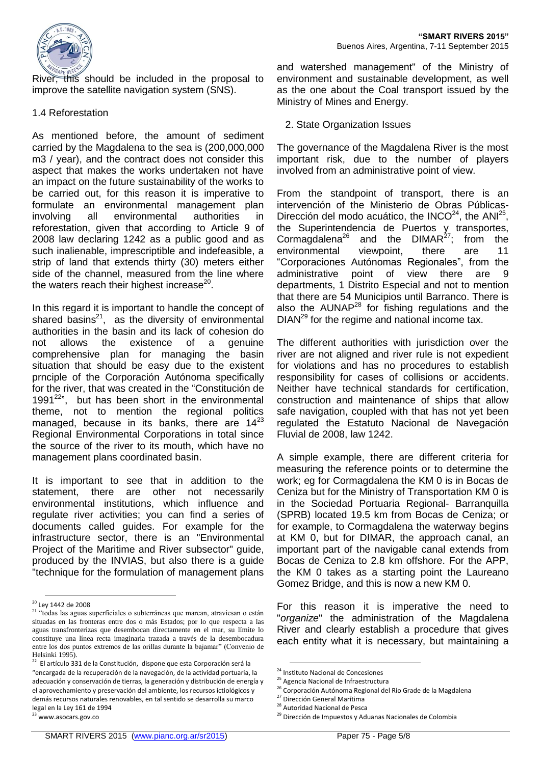

this should be included in the proposal to improve the satellite navigation system (SNS).

#### 1.4 Reforestation

As mentioned before, the amount of sediment carried by the Magdalena to the sea is (200,000,000 m3 / year), and the contract does not consider this aspect that makes the works undertaken not have an impact on the future sustainability of the works to be carried out, for this reason it is imperative to formulate an environmental management plan involving all environmental authorities in reforestation, given that according to Article 9 of 2008 law declaring 1242 as a public good and as such inalienable, imprescriptible and indefeasible, a strip of land that extends thirty (30) meters either side of the channel, measured from the line where the waters reach their highest increase<sup>20</sup>.

In this regard it is important to handle the concept of shared basins $^{21}$ , as the diversity of environmental authorities in the basin and its lack of cohesion do not allows the existence of a genuine comprehensive plan for managing the basin situation that should be easy due to the existent prnciple of the Corporación Autónoma specifically for the river, that was created in the "Constitución de 1991 $22$ ", but has been short in the environmental theme, not to mention the regional politics managed, because in its banks, there are  $14^{23}$ Regional Environmental Corporations in total since the source of the river to its mouth, which have no management plans coordinated basin.

It is important to see that in addition to the statement, there are other not necessarily environmental institutions, which influence and regulate river activities; you can find a series of documents called guides. For example for the infrastructure sector, there is an "Environmental Project of the Maritime and River subsector" guide, produced by the INVIAS, but also there is a guide "technique for the formulation of management plans

 $\overline{a}$ 

<sup>23</sup> www.asocars.gov.co

and watershed management" of the Ministry of environment and sustainable development, as well as the one about the Coal transport issued by the Ministry of Mines and Energy.

#### 2. State Organization Issues

The governance of the Magdalena River is the most important risk, due to the number of players involved from an administrative point of view.

From the standpoint of transport, there is an intervención of the Ministerio de Obras Públicas-Dirección del modo acuático, the INCO $^{24}$ , the ANI $^{25}$ , the Superintendencia de Puertos y transportes, Cormagdalena<sup>26</sup> and the DIMAR<sup>27</sup>; from the environmental viewpoint, there are 11 "Corporaciones Autónomas Regionales", from the administrative point of view there are 9 departments, 1 Distrito Especial and not to mention that there are 54 Municipios until Barranco. There is also the  $AUNAP<sup>28</sup>$  for fishing regulations and the  $DIAN<sup>29</sup>$  for the regime and national income tax.

The different authorities with jurisdiction over the river are not aligned and river rule is not expedient for violations and has no procedures to establish responsibility for cases of collisions or accidents. Neither have technical standards for certification, construction and maintenance of ships that allow safe navigation, coupled with that has not yet been regulated the Estatuto Nacional de Navegación Fluvial de 2008, law 1242.

A simple example, there are different criteria for measuring the reference points or to determine the work; eg for Cormagdalena the KM 0 is in Bocas de Ceniza but for the Ministry of Transportation KM 0 is in the Sociedad Portuaria Regional- Barranquilla (SPRB) located 19.5 km from Bocas de Ceniza; or for example, to Cormagdalena the waterway begins at KM 0, but for DIMAR, the approach canal, an important part of the navigable canal extends from Bocas de Ceniza to 2.8 km offshore. For the APP, the KM 0 takes as a starting point the Laureano Gomez Bridge, and this is now a new KM 0.

For this reason it is imperative the need to "*organize*" the administration of the Magdalena River and clearly establish a procedure that gives each entity what it is necessary, but maintaining a

<sup>&</sup>lt;sup>20</sup> Ley 1442 de 2008

<sup>&</sup>lt;sup>21</sup> "todas las aguas superficiales o subterráneas que marcan, atraviesan o están situadas en las fronteras entre dos o más Estados; por lo que respecta a las aguas transfronterizas que desembocan directamente en el mar, su límite lo constituye una línea recta imaginaria trazada a través de la desembocadura entre los dos puntos extremos de las orillas durante la bajamar" (Convenio de Helsinki 1995).

 $22$  El artículo 331 de la Constitución, dispone que esta Corporación será la "encargada de la recuperación de la navegación, de la actividad portuaria, la adecuación y conservación de tierras, la generación y distribución de energía y el aprovechamiento y preservación del ambiente, los recursos ictiológicos y demás recursos naturales renovables, en tal sentido se desarrolla su marco legal en la Ley 161 de 1994

<sup>1</sup> <sup>24</sup> Instituto Nacional de Concesiones

<sup>25</sup> Agencia Nacional de Infraestructura

<sup>26</sup> Corporación Autónoma Regional del Rio Grade de la Magdalena

<sup>27</sup> Dirección General Marítima

<sup>&</sup>lt;sup>28</sup> Autoridad Nacional de Pesca

<sup>&</sup>lt;sup>29</sup> Dirección de Impuestos y Aduanas Nacionales de Colombia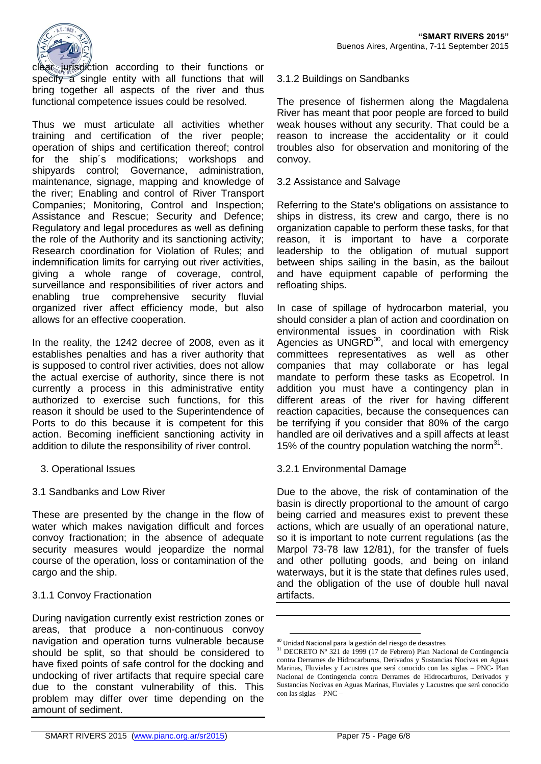

clear jurisdiction according to their functions or specify a single entity with all functions that will bring together all aspects of the river and thus functional competence issues could be resolved.

Thus we must articulate all activities whether training and certification of the river people; operation of ships and certification thereof; control for the ship´s modifications; workshops and shipyards control; Governance, administration, maintenance, signage, mapping and knowledge of the river; Enabling and control of River Transport Companies; Monitoring, Control and Inspection; Assistance and Rescue; Security and Defence; Regulatory and legal procedures as well as defining the role of the Authority and its sanctioning activity; Research coordination for Violation of Rules; and indemnification limits for carrying out river activities, giving a whole range of coverage, control, surveillance and responsibilities of river actors and enabling true comprehensive security fluvial organized river affect efficiency mode, but also allows for an effective cooperation.

In the reality, the 1242 decree of 2008, even as it establishes penalties and has a river authority that is supposed to control river activities, does not allow the actual exercise of authority, since there is not currently a process in this administrative entity authorized to exercise such functions, for this reason it should be used to the Superintendence of Ports to do this because it is competent for this action. Becoming inefficient sanctioning activity in addition to dilute the responsibility of river control.

- 3. Operational Issues
- 3.1 Sandbanks and Low River

These are presented by the change in the flow of water which makes navigation difficult and forces convoy fractionation; in the absence of adequate security measures would jeopardize the normal course of the operation, loss or contamination of the cargo and the ship.

# 3.1.1 Convoy Fractionation

During navigation currently exist restriction zones or areas, that produce a non-continuous convoy navigation and operation turns vulnerable because should be split, so that should be considered to have fixed points of safe control for the docking and undocking of river artifacts that require special care due to the constant vulnerability of this. This problem may differ over time depending on the amount of sediment.

# 3.1.2 Buildings on Sandbanks

The presence of fishermen along the Magdalena River has meant that poor people are forced to build weak houses without any security. That could be a reason to increase the accidentality or it could troubles also for observation and monitoring of the convoy.

## 3.2 Assistance and Salvage

Referring to the State's obligations on assistance to ships in distress, its crew and cargo, there is no organization capable to perform these tasks, for that reason, it is important to have a corporate leadership to the obligation of mutual support between ships sailing in the basin, as the bailout and have equipment capable of performing the refloating ships.

In case of spillage of hydrocarbon material, you should consider a plan of action and coordination on environmental issues in coordination with Risk Agencies as UNGRD $^{30}$ , and local with emergency committees representatives as well as other companies that may collaborate or has legal mandate to perform these tasks as Ecopetrol. In addition you must have a contingency plan in different areas of the river for having different reaction capacities, because the consequences can be terrifying if you consider that 80% of the cargo handled are oil derivatives and a spill affects at least 15% of the country population watching the norm $31$ .

# 3.2.1 Environmental Damage

Due to the above, the risk of contamination of the basin is directly proportional to the amount of cargo being carried and measures exist to prevent these actions, which are usually of an operational nature, so it is important to note current regulations (as the Marpol 73-78 law 12/81), for the transfer of fuels and other polluting goods, and being on inland waterways, but it is the state that defines rules used, and the obligation of the use of double hull naval artifacts.

1

 $30$  Unidad Nacional para la gestión del riesgo de desastres

<sup>31</sup> DECRETO Nº 321 de 1999 (17 de Febrero) Plan Nacional de Contingencia contra Derrames de Hidrocarburos, Derivados y Sustancias Nocivas en Aguas Marinas, Fluviales y Lacustres que será conocido con las siglas – PNC- Plan Nacional de Contingencia contra Derrames de Hidrocarburos, Derivados y Sustancias Nocivas en Aguas Marinas, Fluviales y Lacustres que será conocido con las siglas – PNC –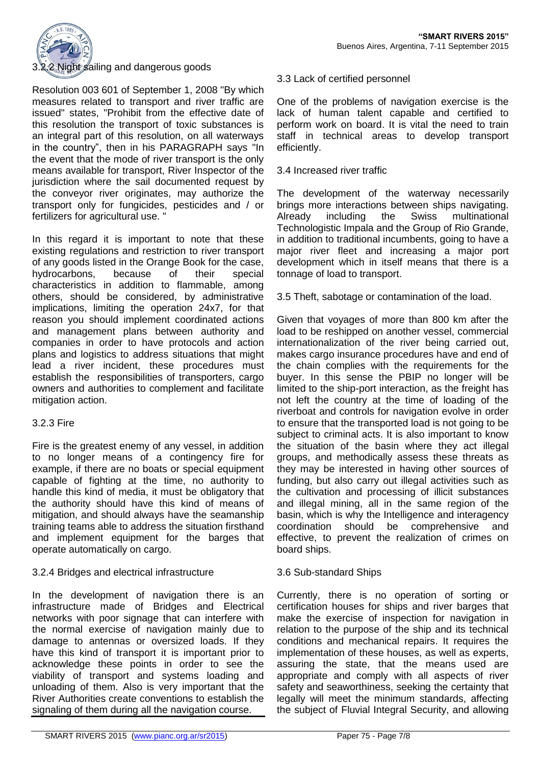

## Night sailing and dangerous goods

Resolution 003 601 of September 1, 2008 "By which measures related to transport and river traffic are issued" states, "Prohibit from the effective date of this resolution the transport of toxic substances is an integral part of this resolution, on all waterways in the country", then in his PARAGRAPH says "In the event that the mode of river transport is the only means available for transport, River Inspector of the jurisdiction where the sail documented request by the conveyor river originates, may authorize the transport only for fungicides, pesticides and / or fertilizers for agricultural use. "

In this regard it is important to note that these existing regulations and restriction to river transport of any goods listed in the Orange Book for the case, hydrocarbons, because of their special characteristics in addition to flammable, among others, should be considered, by administrative implications, limiting the operation 24x7, for that reason you should implement coordinated actions and management plans between authority and companies in order to have protocols and action plans and logistics to address situations that might lead a river incident, these procedures must establish the responsibilities of transporters, cargo owners and authorities to complement and facilitate mitigation action.

## 3.2.3 Fire

Fire is the greatest enemy of any vessel, in addition to no longer means of a contingency fire for example, if there are no boats or special equipment capable of fighting at the time, no authority to handle this kind of media, it must be obligatory that the authority should have this kind of means of mitigation, and should always have the seamanship training teams able to address the situation firsthand and implement equipment for the barges that operate automatically on cargo.

## 3.2.4 Bridges and electrical infrastructure

In the development of navigation there is an infrastructure made of Bridges and Electrical networks with poor signage that can interfere with the normal exercise of navigation mainly due to damage to antennas or oversized loads. If they have this kind of transport it is important prior to acknowledge these points in order to see the viability of transport and systems loading and unloading of them. Also is very important that the River Authorities create conventions to establish the signaling of them during all the navigation course.

#### 3.3 Lack of certified personnel

One of the problems of navigation exercise is the lack of human talent capable and certified to perform work on board. It is vital the need to train staff in technical areas to develop transport efficiently.

#### 3.4 Increased river traffic

The development of the waterway necessarily brings more interactions between ships navigating. Already including the Swiss multinational Technologistic Impala and the Group of Rio Grande, in addition to traditional incumbents, going to have a major river fleet and increasing a major port development which in itself means that there is a tonnage of load to transport.

3.5 Theft, sabotage or contamination of the load.

Given that voyages of more than 800 km after the load to be reshipped on another vessel, commercial internationalization of the river being carried out, makes cargo insurance procedures have and end of the chain complies with the requirements for the buyer. In this sense the PBIP no longer will be limited to the ship-port interaction, as the freight has not left the country at the time of loading of the riverboat and controls for navigation evolve in order to ensure that the transported load is not going to be subject to criminal acts. It is also important to know the situation of the basin where they act illegal groups, and methodically assess these threats as they may be interested in having other sources of funding, but also carry out illegal activities such as the cultivation and processing of illicit substances and illegal mining, all in the same region of the basin, which is why the Intelligence and interagency coordination should be comprehensive and effective, to prevent the realization of crimes on board ships.

## 3.6 Sub-standard Ships

Currently, there is no operation of sorting or certification houses for ships and river barges that make the exercise of inspection for navigation in relation to the purpose of the ship and its technical conditions and mechanical repairs. It requires the implementation of these houses, as well as experts, assuring the state, that the means used are appropriate and comply with all aspects of river safety and seaworthiness, seeking the certainty that legally will meet the minimum standards, affecting the subject of Fluvial Integral Security, and allowing